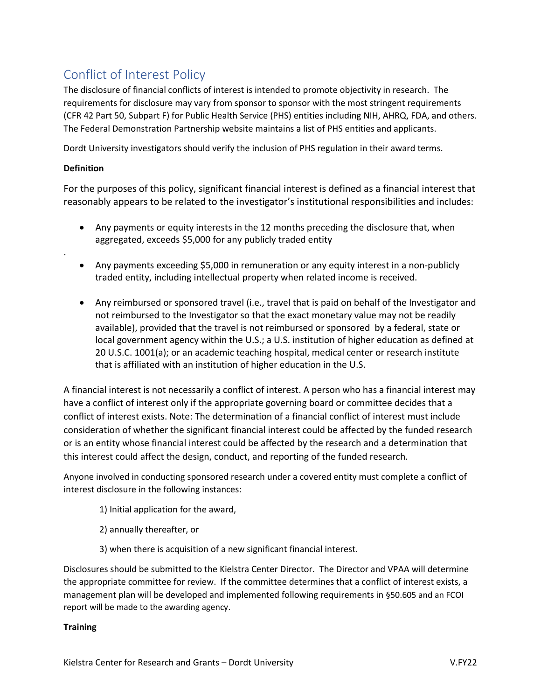## Conflict of Interest Policy

The disclosure of financial conflicts of interest is intended to promote objectivity in research. The requirements for disclosure may vary from sponsor to sponsor with the most stringent requirements (CFR 42 Part 50, Subpart F) for Public Health Service (PHS) entities including NIH, AHRQ, FDA, and others. The Federal Demonstration Partnership website maintains a list of PHS entities and applicants.

Dordt University investigators should verify the inclusion of PHS regulation in their award terms.

## **Definition**

.

For the purposes of this policy, significant financial interest is defined as a financial interest that reasonably appears to be related to the investigator's institutional responsibilities and includes:

- Any payments or equity interests in the 12 months preceding the disclosure that, when aggregated, exceeds \$5,000 for any publicly traded entity
- Any payments exceeding \$5,000 in remuneration or any equity interest in a non-publicly traded entity, including intellectual property when related income is received.
- Any reimbursed or sponsored travel (i.e., travel that is paid on behalf of the Investigator and not reimbursed to the Investigator so that the exact monetary value may not be readily available), provided that the travel is not reimbursed or sponsored by a federal, state or local government agency within the U.S.; a U.S. institution of higher education as defined at 20 U.S.C. 1001(a); or an academic teaching hospital, medical center or research institute that is affiliated with an institution of higher education in the U.S.

A financial interest is not necessarily a conflict of interest. A person who has a financial interest may have a conflict of interest only if the appropriate governing board or committee decides that a conflict of interest exists. Note: The determination of a financial conflict of interest must include consideration of whether the significant financial interest could be affected by the funded research or is an entity whose financial interest could be affected by the research and a determination that this interest could affect the design, conduct, and reporting of the funded research.

Anyone involved in conducting sponsored research under a covered entity must complete a conflict of interest disclosure in the following instances:

- 1) Initial application for the award,
- 2) annually thereafter, or
- 3) when there is acquisition of a new significant financial interest.

Disclosures should be submitted to the Kielstra Center Director. The Director and VPAA will determine the appropriate committee for review. If the committee determines that a conflict of interest exists, a management plan will be developed and implemented following requirements in §50.605 and an FCOI report will be made to the awarding agency.

## **Training**